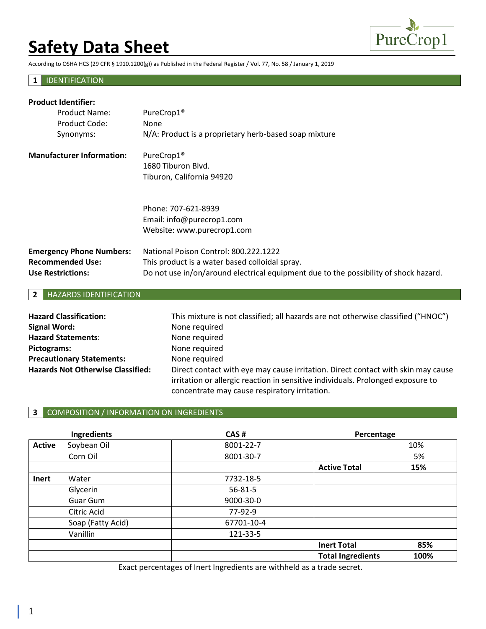

According to OSHA HCS (29 CFR § 1910.1200(g)) as Published in the Federal Register / Vol. 77, No. 58 / January 1, 2019

### **1** IDENTIFICATION

| <b>Product Identifier:</b>       |                                                                                      |  |  |
|----------------------------------|--------------------------------------------------------------------------------------|--|--|
| Product Name:                    | PureCrop1 <sup>®</sup>                                                               |  |  |
| Product Code:                    | None                                                                                 |  |  |
| Synonyms:                        | N/A: Product is a proprietary herb-based soap mixture                                |  |  |
| <b>Manufacturer Information:</b> | PureCrop1 <sup>®</sup>                                                               |  |  |
|                                  | 1680 Tiburon Blyd.                                                                   |  |  |
|                                  | Tiburon, California 94920                                                            |  |  |
|                                  | Phone: 707-621-8939                                                                  |  |  |
|                                  | Email: info@purecrop1.com                                                            |  |  |
|                                  | Website: www.purecrop1.com                                                           |  |  |
| <b>Emergency Phone Numbers:</b>  | National Poison Control: 800.222.1222                                                |  |  |
| <b>Recommended Use:</b>          | This product is a water based colloidal spray.                                       |  |  |
| <b>Use Restrictions:</b>         | Do not use in/on/around electrical equipment due to the possibility of shock hazard. |  |  |

#### **2** HAZARDS IDENTIFICATION

| <b>Hazard Classification:</b>            | This mixture is not classified; all hazards are not otherwise classified ("HNOC") |
|------------------------------------------|-----------------------------------------------------------------------------------|
| <b>Signal Word:</b>                      | None required                                                                     |
| <b>Hazard Statements:</b>                | None required                                                                     |
| Pictograms:                              | None required                                                                     |
| <b>Precautionary Statements:</b>         | None required                                                                     |
| <b>Hazards Not Otherwise Classified:</b> | Direct contact with eye may cause irritation. Direct contact with skin may cause  |
|                                          | irritation or allergic reaction in sensitive individuals. Prolonged exposure to   |
|                                          | concentrate may cause respiratory irritation.                                     |

## **3** COMPOSITION / INFORMATION ON INGREDIENTS

|               | Ingredients       | CAS#       | Percentage               |      |
|---------------|-------------------|------------|--------------------------|------|
| <b>Active</b> | Soybean Oil       | 8001-22-7  |                          | 10%  |
|               | Corn Oil          | 8001-30-7  |                          | 5%   |
|               |                   |            | <b>Active Total</b>      | 15%  |
| Inert         | Water             | 7732-18-5  |                          |      |
|               | Glycerin          | 56-81-5    |                          |      |
|               | <b>Guar Gum</b>   | 9000-30-0  |                          |      |
|               | Citric Acid       | 77-92-9    |                          |      |
|               | Soap (Fatty Acid) | 67701-10-4 |                          |      |
|               | Vanillin          | 121-33-5   |                          |      |
|               |                   |            | <b>Inert Total</b>       | 85%  |
|               |                   |            | <b>Total Ingredients</b> | 100% |

Exact percentages of Inert Ingredients are withheld as a trade secret.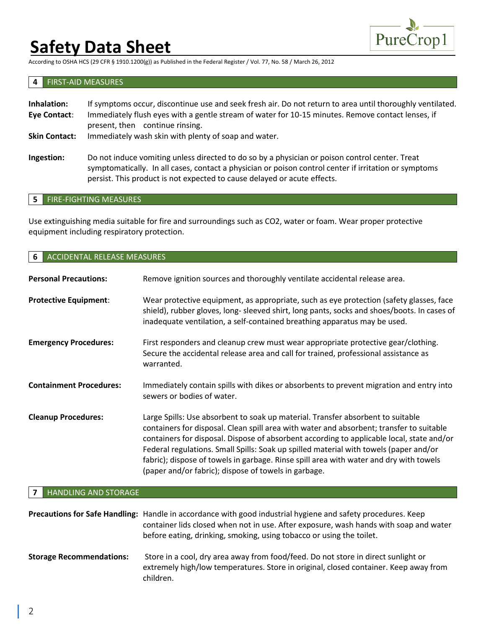

According to OSHA HCS (29 CFR § 1910.1200(g)) as Published in the Federal Register / Vol. 77, No. 58 / March 26, 2012

#### **4** FIRST-AID MEASURES

| Inhalation:<br>Eye Contact: | If symptoms occur, discontinue use and seek fresh air. Do not return to area until thoroughly ventilated.<br>Immediately flush eyes with a gentle stream of water for 10-15 minutes. Remove contact lenses, if<br>present, then continue rinsing. |
|-----------------------------|---------------------------------------------------------------------------------------------------------------------------------------------------------------------------------------------------------------------------------------------------|
| <b>Skin Contact:</b>        | Immediately wash skin with plenty of soap and water.                                                                                                                                                                                              |
| Ingestion:                  | Do not induce vomiting unless directed to do so by a physician or poison control center. Treat<br>symptomatically. In all cases, contact a physician or poison control center if irritation or symptoms                                           |

#### **5** FIRE-FIGHTING MEASURES

Use extinguishing media suitable for fire and surroundings such as CO2, water or foam. Wear proper protective equipment including respiratory protection.

persist. This product is not expected to cause delayed or acute effects.

| ACCIDENTAL RELEASE MEASURES<br>6              |                                                                                                                                                                                                                                                                                                                                                                                                                                                                                                                     |  |
|-----------------------------------------------|---------------------------------------------------------------------------------------------------------------------------------------------------------------------------------------------------------------------------------------------------------------------------------------------------------------------------------------------------------------------------------------------------------------------------------------------------------------------------------------------------------------------|--|
| <b>Personal Precautions:</b>                  | Remove ignition sources and thoroughly ventilate accidental release area.                                                                                                                                                                                                                                                                                                                                                                                                                                           |  |
| <b>Protective Equipment:</b>                  | Wear protective equipment, as appropriate, such as eye protection (safety glasses, face<br>shield), rubber gloves, long- sleeved shirt, long pants, socks and shoes/boots. In cases of<br>inadequate ventilation, a self-contained breathing apparatus may be used.                                                                                                                                                                                                                                                 |  |
| <b>Emergency Procedures:</b>                  | First responders and cleanup crew must wear appropriate protective gear/clothing.<br>Secure the accidental release area and call for trained, professional assistance as<br>warranted.                                                                                                                                                                                                                                                                                                                              |  |
| <b>Containment Procedures:</b>                | Immediately contain spills with dikes or absorbents to prevent migration and entry into<br>sewers or bodies of water.                                                                                                                                                                                                                                                                                                                                                                                               |  |
| <b>Cleanup Procedures:</b>                    | Large Spills: Use absorbent to soak up material. Transfer absorbent to suitable<br>containers for disposal. Clean spill area with water and absorbent; transfer to suitable<br>containers for disposal. Dispose of absorbent according to applicable local, state and/or<br>Federal regulations. Small Spills: Soak up spilled material with towels (paper and/or<br>fabric); dispose of towels in garbage. Rinse spill area with water and dry with towels<br>(paper and/or fabric); dispose of towels in garbage. |  |
| <b>HANDLING AND STORAGE</b><br>$\overline{7}$ |                                                                                                                                                                                                                                                                                                                                                                                                                                                                                                                     |  |
|                                               | Precautions for Safe Handling: Handle in accordance with good industrial hygiene and safety procedures. Keep<br>container lids closed when not in use. After exposure, wash hands with soap and water<br>before eating, drinking, smoking, using tobacco or using the toilet.                                                                                                                                                                                                                                       |  |
| <b>Storage Recommendations:</b>               | Store in a cool, dry area away from food/feed. Do not store in direct sunlight or                                                                                                                                                                                                                                                                                                                                                                                                                                   |  |

children.

extremely high/low temperatures. Store in original, closed container. Keep away from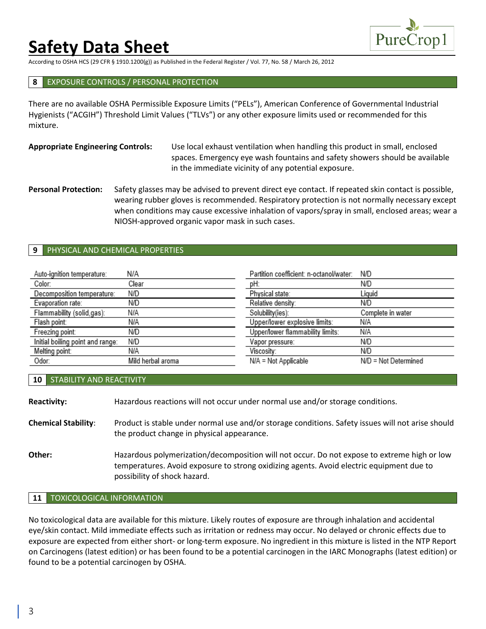

According to OSHA HCS (29 CFR § 1910.1200(g)) as Published in the Federal Register / Vol. 77, No. 58 / March 26, 2012

#### **8** EXPOSURE CONTROLS / PERSONAL PROTECTION

There are no available OSHA Permissible Exposure Limits ("PELs"), American Conference of Governmental Industrial Hygienists ("ACGIH") Threshold Limit Values ("TLVs") or any other exposure limits used or recommended for this mixture.

### **Appropriate Engineering Controls:** Use local exhaust ventilation when handling this product in small, enclosed spaces. Emergency eye wash fountains and safety showers should be available in the immediate vicinity of any potential exposure.

**Personal Protection:** Safety glasses may be advised to prevent direct eye contact. If repeated skin contact is possible, wearing rubber gloves is recommended. Respiratory protection is not normally necessary except when conditions may cause excessive inhalation of vapors/spray in small, enclosed areas; wear a NIOSH-approved organic vapor mask in such cases.

#### **9** PHYSICAL AND CHEMICAL PROPERTIES

| Auto-ignition temperature:       | N/A               | Partition coefficient: n-octanol/water: | N/D                  |
|----------------------------------|-------------------|-----------------------------------------|----------------------|
| Color:                           | Clear             | pH:                                     | N/D                  |
| Decomposition temperature:       | N/D               | Physical state:                         | Liauid               |
| Evaporation rate:                | N/D               | Relative density:                       | N/D                  |
| Flammability (solid,gas):        | N/A               | Solubility(ies):                        | Complete in water    |
| Flash point:                     | N/A               | Upper/lower explosive limits:           | N/A                  |
| Freezing point:                  | N/D               | Upper/lower flammability limits:        | N/A                  |
| Initial boiling point and range: | N/D               | Vapor pressure:                         | N/D                  |
| Melting point:                   | N/A               | Viscosity:                              | N/D                  |
| Odor:                            | Mild herbal aroma | N/A = Not Applicable                    | N/D = Not Determined |

#### **10** STABILITY AND REACTIVITY

| <b>Reactivity:</b>         | Hazardous reactions will not occur under normal use and/or storage conditions.                                                                                                                                          |
|----------------------------|-------------------------------------------------------------------------------------------------------------------------------------------------------------------------------------------------------------------------|
| <b>Chemical Stability:</b> | Product is stable under normal use and/or storage conditions. Safety issues will not arise should<br>the product change in physical appearance.                                                                         |
| Other:                     | Hazardous polymerization/decomposition will not occur. Do not expose to extreme high or low<br>temperatures. Avoid exposure to strong oxidizing agents. Avoid electric equipment due to<br>possibility of shock hazard. |

### **11** TOXICOLOGICAL INFORMATION

No toxicological data are available for this mixture. Likely routes of exposure are through inhalation and accidental eye/skin contact. Mild immediate effects such as irritation or redness may occur. No delayed or chronic effects due to exposure are expected from either short- or long-term exposure. No ingredient in this mixture is listed in the NTP Report on Carcinogens (latest edition) or has been found to be a potential carcinogen in the IARC Monographs (latest edition) or found to be a potential carcinogen by OSHA.